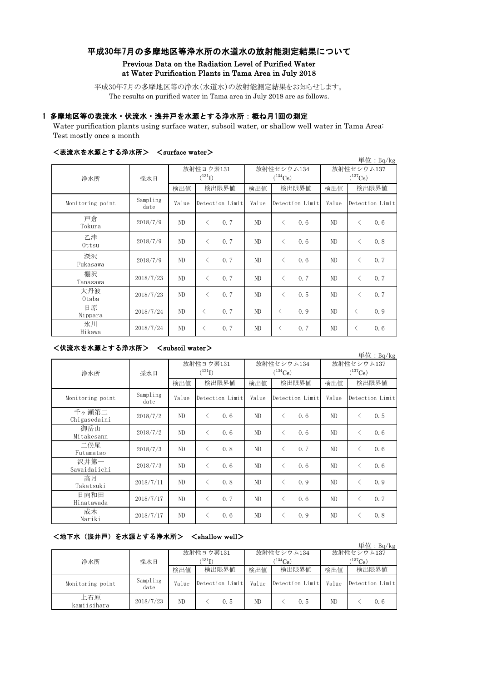# 平成30年7月の多摩地区等浄水所の水道水の放射能測定結果について

## Previous Data on the Radiation Level of Purified Water at Water Purification Plants in Tama Area in July 2018

平成30年7月の多摩地区等の浄水(水道水)の放射能測定結果をお知らせします。 The results on purified water in Tama area in July 2018 are as follows.

### 1 多摩地区等の表流水・伏流水・浅井戸を水源とする浄水所:概ね月1回の測定

Water purification plants using surface water, subsoil water, or shallow well water in Tama Area: Test mostly once a month

| ヽ数灬 ハ ~ △ ハ, ⌒ ⌒ ゝ ヘ っ ァ ハ ハ フ /<br>NOWLIAUG WAUCL /<br>単位: Bq/kg |                  |                                                        |                  |       |                                     |       |                  |  |
|-------------------------------------------------------------------|------------------|--------------------------------------------------------|------------------|-------|-------------------------------------|-------|------------------|--|
| 浄水所                                                               | 採水日              | 放射性セシウム134<br>放射性ヨウ素131<br>$(^{131}I)$<br>$(^{134}Cs)$ |                  |       | 放射性セシウム137<br>$(^{137}\mathrm{Cs})$ |       |                  |  |
|                                                                   |                  | 検出値                                                    | 検出限界値            | 検出値   | 検出限界値                               | 検出値   | 検出限界値            |  |
| Monitoring point                                                  | Sampling<br>date | Value                                                  | Detection Limit  | Value | Detection Limit                     | Value | Detection Limit  |  |
| 戸倉<br>Tokura                                                      | 2018/7/9         | ND                                                     | 0.7<br>$\lt$     | ND    | $\langle$<br>0.6                    | ND    | 0.6<br>$\langle$ |  |
| 乙津<br>Ottsu                                                       | 2018/7/9         | ND                                                     | 0.7<br>$\lt$     | ND    | 0.6<br>$\langle$                    | ND    | 0.8<br>$\langle$ |  |
| 深沢<br>Fukasawa                                                    | 2018/7/9         | ND                                                     | 0.7<br>$\langle$ | ND    | 0.6<br>$\langle$                    | ND    | 0.7<br>$\langle$ |  |
| 棚沢<br>Tanasawa                                                    | 2018/7/23        | ND                                                     | 0.7<br>$\langle$ | ND    | 0.7<br>$\langle$                    | ND    | 0.7<br>$\langle$ |  |
| 大丹波<br>0taba                                                      | 2018/7/23        | ND                                                     | 0.7<br>$\lt$     | ND    | 0.5<br>$\langle$                    | ND    | 0.7<br>$\langle$ |  |
| 日原<br>Nippara                                                     | 2018/7/24        | ND                                                     | 0.7<br>$\langle$ | ND    | 0.9<br>$\langle$                    | ND    | 0.9<br>$\lt$     |  |
| 氷川<br>Hikawa                                                      | 2018/7/24        | ND                                                     | 0.7<br>$\langle$ | ND    | 0, 7<br>$\langle$                   | ND    | 0.6<br>$\langle$ |  |

#### <表流水を水源とする浄水所> <surface water>

## <伏流水を水源とする浄水所> <subsoil water>

| 単位: Bq/kg             |                  |                          |                   |                            |                                                  |                            |                  |
|-----------------------|------------------|--------------------------|-------------------|----------------------------|--------------------------------------------------|----------------------------|------------------|
| 浄水所                   | 採水日              | 放射性ヨウ素131<br>$(^{131}I)$ |                   | 放射性セシウム134<br>$(^{134}Cs)$ |                                                  | 放射性セシウム137<br>$(^{137}Cs)$ |                  |
|                       |                  | 検出値                      | 検出限界値             | 検出値                        | 検出限界値                                            | 検出値                        | 検出限界値            |
| Monitoring point      | Sampling<br>date | Value                    | Detection Limit   | Value                      | Detection Limit                                  | Value                      | Detection Limit  |
| 千ヶ瀬第二<br>Chigasedaini | 2018/7/2         | ND                       | 0, 6<br>$\langle$ | ND                         | $\langle$<br>0.6                                 | ND                         | 0.5<br>$\langle$ |
| 御岳山<br>Mitakesann     | 2018/7/2         | ND                       | 0.6<br>$\langle$  | ND                         | $\langle$<br>0.6                                 | ND                         | 0.6<br>$\lt$     |
| 二俣尾<br>Futamatao      | 2018/7/3         | ND                       | 0.8<br>$\langle$  | ND                         | 0, 7<br>$\overline{\left\langle \right\rangle }$ | ND.                        | 0.6<br>$\langle$ |
| 沢井第一<br>Sawaidaiichi  | 2018/7/3         | ND                       | 0, 6<br>$\langle$ | ND                         | $\langle$<br>0.6                                 | ND.                        | 0.6<br>✓         |
| 高月<br>Takatsuki       | 2018/7/11        | ND                       | 0.8<br>✓          | ND                         | 0.9<br>$\langle$                                 | ND                         | 0.9<br>✓         |
| 日向和田<br>Hinatawada    | 2018/7/17        | ND                       | 0, 7<br>$\langle$ | ND                         | 0.6<br>$\langle$                                 | ND                         | 0.7<br>✓         |
| 成木<br>Nariki          | 2018/7/17        | ND                       | 0.6<br>$\langle$  | ND                         | 0.9<br>⟨                                         | ND.                        | 0.8<br>✓         |

# <地下水(浅井戸)を水源とする浄水所> <shallow well>

| ~~~~~~~~~~~~~      |                  |                     |                 |            |                 |                       |                                           |
|--------------------|------------------|---------------------|-----------------|------------|-----------------|-----------------------|-------------------------------------------|
|                    |                  |                     |                 |            |                 |                       | $\vert \dot{\Xi} \vert \dot{\Xi}$ : Bq/kg |
| 浄水所                | 採水日              | 放射性ヨウ素131           |                 | 放射性セシウム134 |                 | 放射性セシウム137            |                                           |
|                    |                  | $^{\prime\,131}$ T) |                 | $134C_8$ ) |                 | $(^{137}\mathrm{Cs})$ |                                           |
|                    |                  | 検出値                 | 検出限界値           | 検出値        | 検出限界値           | 検出値                   | 検出限界値                                     |
| Monitoring point   | Sampling<br>date | Value               | Detection Limit | Value      | Detection Limit | Value                 | Detection Limit                           |
| 上石原<br>kamiisihara | 2018/7/23        | ND                  | 0.5             | ND         | 0.5             | ND                    | 0,6                                       |